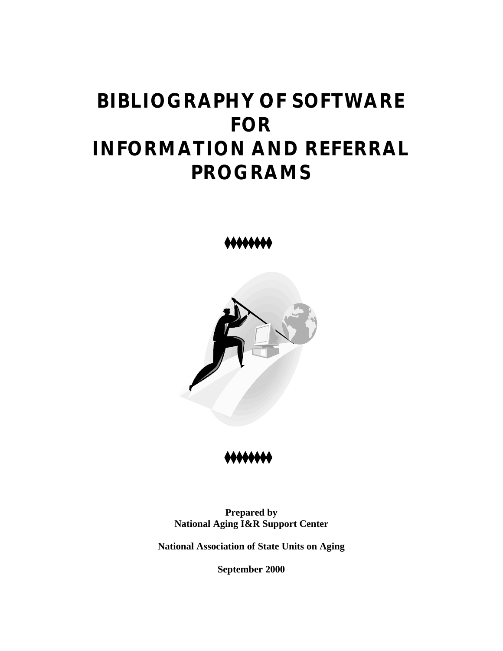# **BIBLIOGRAPHY OF SOFTWARE FOR INFORMATION AND REFERRAL PROGRAMS**

44444444



,,,,,,

**Prepared by National Aging I&R Support Center**

**National Association of State Units on Aging**

**September 2000**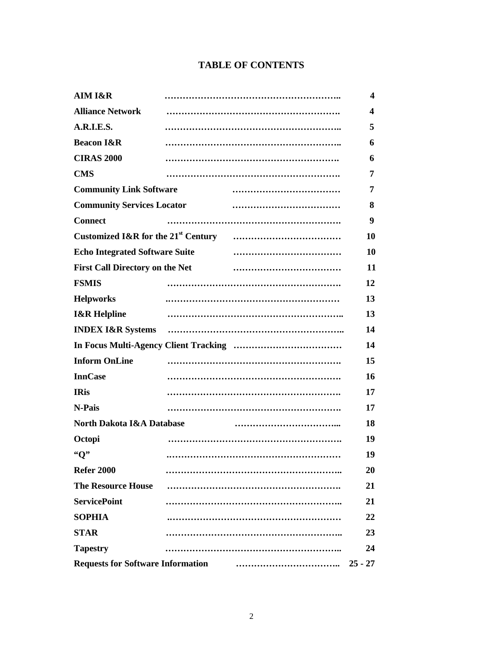# **TABLE OF CONTENTS**

| AIM I&R                                  |  | $\overline{\mathbf{4}}$ |
|------------------------------------------|--|-------------------------|
| <b>Alliance Network</b>                  |  | 4                       |
| A.R.I.E.S.                               |  | 5                       |
| <b>Beacon I&amp;R</b>                    |  | 6                       |
| <b>CIRAS 2000</b>                        |  | 6                       |
| <b>CMS</b>                               |  | 7                       |
| <b>Community Link Software</b>           |  | 7                       |
| <b>Community Services Locator</b>        |  | 8                       |
| <b>Connect</b>                           |  | 9                       |
|                                          |  | 10                      |
| <b>Echo Integrated Software Suite</b>    |  | 10                      |
| <b>First Call Directory on the Net</b>   |  | 11                      |
| <b>FSMIS</b>                             |  | 12                      |
| <b>Helpworks</b>                         |  | 13                      |
| <b>I&amp;R Helpline</b>                  |  | 13                      |
| <b>INDEX I&amp;R Systems</b>             |  | 14                      |
|                                          |  | 14                      |
| <b>Inform OnLine</b>                     |  | 15                      |
| <b>InnCase</b>                           |  | 16                      |
| <b>IRis</b>                              |  | 17                      |
| N-Pais                                   |  | 17                      |
| <b>North Dakota I&amp;A Database</b>     |  | 18                      |
| Octopi                                   |  | 19                      |
| "O"                                      |  | 19                      |
| <b>Refer 2000</b>                        |  | 20                      |
| <b>The Resource House</b>                |  | 21                      |
| <b>ServicePoint</b>                      |  | 21                      |
| <b>SOPHIA</b>                            |  | 22                      |
| <b>STAR</b>                              |  | 23                      |
| <b>Tapestry</b>                          |  | 24                      |
| <b>Requests for Software Information</b> |  | $25 - 27$               |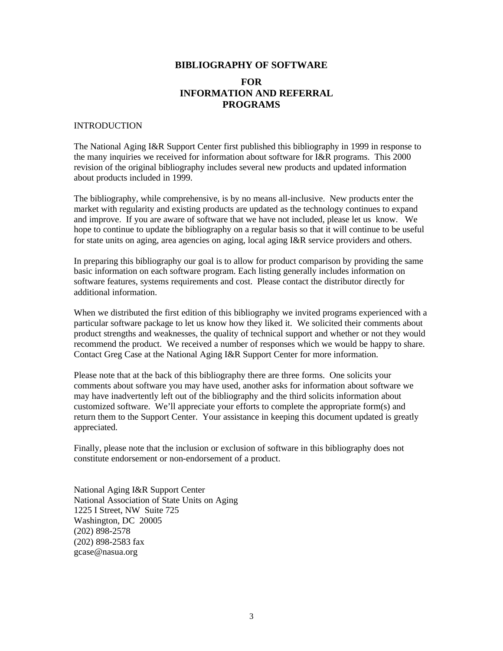# **BIBLIOGRAPHY OF SOFTWARE FOR INFORMATION AND REFERRAL PROGRAMS**

#### INTRODUCTION

The National Aging I&R Support Center first published this bibliography in 1999 in response to the many inquiries we received for information about software for I&R programs. This 2000 revision of the original bibliography includes several new products and updated information about products included in 1999.

The bibliography, while comprehensive, is by no means all-inclusive. New products enter the market with regularity and existing products are updated as the technology continues to expand and improve. If you are aware of software that we have not included, please let us know. We hope to continue to update the bibliography on a regular basis so that it will continue to be useful for state units on aging, area agencies on aging, local aging I&R service providers and others.

In preparing this bibliography our goal is to allow for product comparison by providing the same basic information on each software program. Each listing generally includes information on software features, systems requirements and cost. Please contact the distributor directly for additional information.

When we distributed the first edition of this bibliography we invited programs experienced with a particular software package to let us know how they liked it. We solicited their comments about product strengths and weaknesses, the quality of technical support and whether or not they would recommend the product. We received a number of responses which we would be happy to share. Contact Greg Case at the National Aging I&R Support Center for more information.

Please note that at the back of this bibliography there are three forms. One solicits your comments about software you may have used, another asks for information about software we may have inadvertently left out of the bibliography and the third solicits information about customized software. We'll appreciate your efforts to complete the appropriate form(s) and return them to the Support Center. Your assistance in keeping this document updated is greatly appreciated.

Finally, please note that the inclusion or exclusion of software in this bibliography does not constitute endorsement or non-endorsement of a product.

National Aging I&R Support Center National Association of State Units on Aging 1225 I Street, NW Suite 725 Washington, DC 20005 (202) 898-2578 (202) 898-2583 fax gcase@nasua.org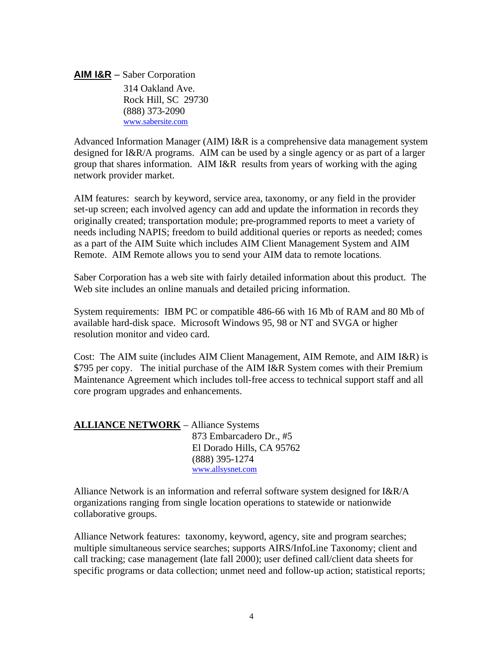**AIM I&R** – Saber Corporation

 314 Oakland Ave. Rock Hill, SC 29730 (888) 373-2090 www.sabersite.com

Advanced Information Manager (AIM) I&R is a comprehensive data management system designed for I&R/A programs. AIM can be used by a single agency or as part of a larger group that shares information. AIM I&R results from years of working with the aging network provider market.

AIM features: search by keyword, service area, taxonomy, or any field in the provider set-up screen; each involved agency can add and update the information in records they originally created; transportation module; pre-programmed reports to meet a variety of needs including NAPIS; freedom to build additional queries or reports as needed; comes as a part of the AIM Suite which includes AIM Client Management System and AIM Remote. AIM Remote allows you to send your AIM data to remote locations.

Saber Corporation has a web site with fairly detailed information about this product. The Web site includes an online manuals and detailed pricing information.

System requirements: IBM PC or compatible 486-66 with 16 Mb of RAM and 80 Mb of available hard-disk space. Microsoft Windows 95, 98 or NT and SVGA or higher resolution monitor and video card.

Cost: The AIM suite (includes AIM Client Management, AIM Remote, and AIM I&R) is \$795 per copy. The initial purchase of the AIM I&R System comes with their Premium Maintenance Agreement which includes toll-free access to technical support staff and all core program upgrades and enhancements.

| <b>ALLIANCE NETWORK – Alliance Systems</b> |                           |
|--------------------------------------------|---------------------------|
|                                            | 873 Embarcadero Dr., #5   |
|                                            | El Dorado Hills, CA 95762 |
|                                            | $(888)$ 395-1274          |
|                                            | www.allsysnet.com         |

Alliance Network is an information and referral software system designed for I&R/A organizations ranging from single location operations to statewide or nationwide collaborative groups.

Alliance Network features: taxonomy, keyword, agency, site and program searches; multiple simultaneous service searches; supports AIRS/InfoLine Taxonomy; client and call tracking; case management (late fall 2000); user defined call/client data sheets for specific programs or data collection; unmet need and follow-up action; statistical reports;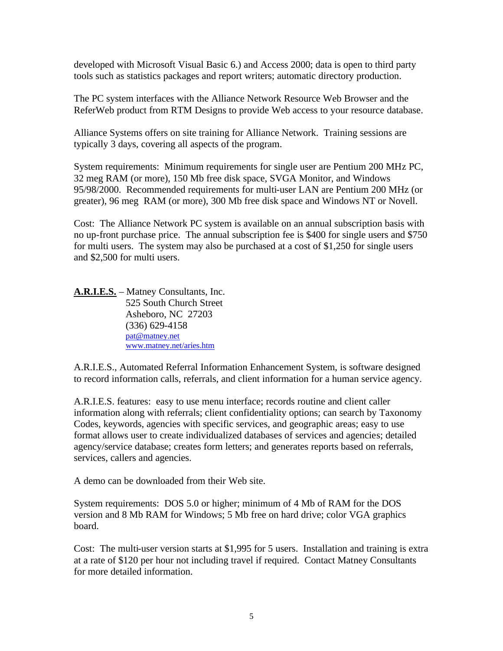developed with Microsoft Visual Basic 6.) and Access 2000; data is open to third party tools such as statistics packages and report writers; automatic directory production.

The PC system interfaces with the Alliance Network Resource Web Browser and the ReferWeb product from RTM Designs to provide Web access to your resource database.

Alliance Systems offers on site training for Alliance Network. Training sessions are typically 3 days, covering all aspects of the program.

System requirements: Minimum requirements for single user are Pentium 200 MHz PC, 32 meg RAM (or more), 150 Mb free disk space, SVGA Monitor, and Windows 95/98/2000. Recommended requirements for multi-user LAN are Pentium 200 MHz (or greater), 96 meg RAM (or more), 300 Mb free disk space and Windows NT or Novell.

Cost: The Alliance Network PC system is available on an annual subscription basis with no up-front purchase price. The annual subscription fee is \$400 for single users and \$750 for multi users. The system may also be purchased at a cost of \$1,250 for single users and \$2,500 for multi users.

**A.R.I.E.S.** – Matney Consultants, Inc. 525 South Church Street Asheboro, NC 27203 (336) 629-4158 pat@matney.net www.matney.net/aries.htm

A.R.I.E.S., Automated Referral Information Enhancement System, is software designed to record information calls, referrals, and client information for a human service agency.

A.R.I.E.S. features: easy to use menu interface; records routine and client caller information along with referrals; client confidentiality options; can search by Taxonomy Codes, keywords, agencies with specific services, and geographic areas; easy to use format allows user to create individualized databases of services and agencies; detailed agency/service database; creates form letters; and generates reports based on referrals, services, callers and agencies.

A demo can be downloaded from their Web site.

System requirements: DOS 5.0 or higher; minimum of 4 Mb of RAM for the DOS version and 8 Mb RAM for Windows; 5 Mb free on hard drive; color VGA graphics board.

Cost: The multi-user version starts at \$1,995 for 5 users. Installation and training is extra at a rate of \$120 per hour not including travel if required. Contact Matney Consultants for more detailed information.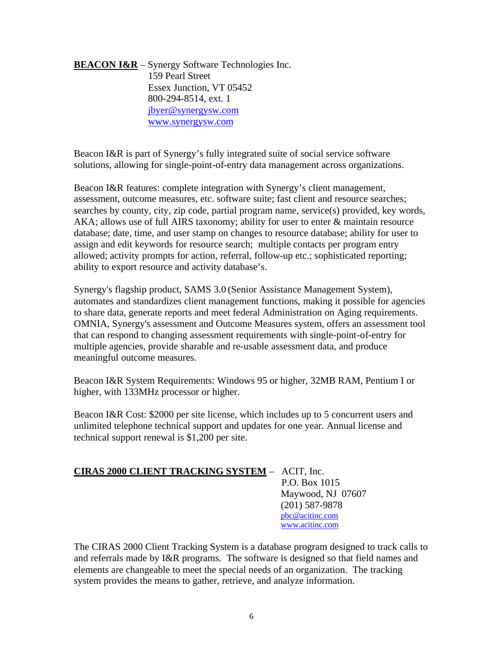## **BEACON I&R** – Synergy Software Technologies Inc. 159 Pearl Street Essex Junction, VT 05452 800-294-8514, ext. 1 jbyer@synergysw.com www.synergysw.com

Beacon I&R is part of Synergy's fully integrated suite of social service software solutions, allowing for single-point-of-entry data management across organizations.

Beacon I&R features: complete integration with Synergy's client management, assessment, outcome measures, etc. software suite; fast client and resource searches; searches by county, city, zip code, partial program name, service(s) provided, key words, AKA; allows use of full AIRS taxonomy; ability for user to enter & maintain resource database; date, time, and user stamp on changes to resource database; ability for user to assign and edit keywords for resource search; multiple contacts per program entry allowed; activity prompts for action, referral, follow-up etc.; sophisticated reporting; ability to export resource and activity database's.

Synergy's flagship product, SAMS 3.0 (Senior Assistance Management System), automates and standardizes client management functions, making it possible for agencies to share data, generate reports and meet federal Administration on Aging requirements. OMNIA, Synergy's assessment and Outcome Measures system, offers an assessment tool that can respond to changing assessment requirements with single-point-of-entry for multiple agencies, provide sharable and re-usable assessment data, and produce meaningful outcome measures.

Beacon I&R System Requirements: Windows 95 or higher, 32MB RAM, Pentium I or higher, with 133MHz processor or higher.

Beacon I&R Cost: \$2000 per site license, which includes up to 5 concurrent users and unlimited telephone technical support and updates for one year. Annual license and technical support renewal is \$1,200 per site.

## **CIRAS 2000 CLIENT TRACKING SYSTEM** – ACIT, Inc.

 P.O. Box 1015 Maywood, NJ 07607 (201) 587-9878 pbc@acitinc.com www.acitinc.com

The CIRAS 2000 Client Tracking System is a database program designed to track calls to and referrals made by I&R programs. The software is designed so that field names and elements are changeable to meet the special needs of an organization. The tracking system provides the means to gather, retrieve, and analyze information.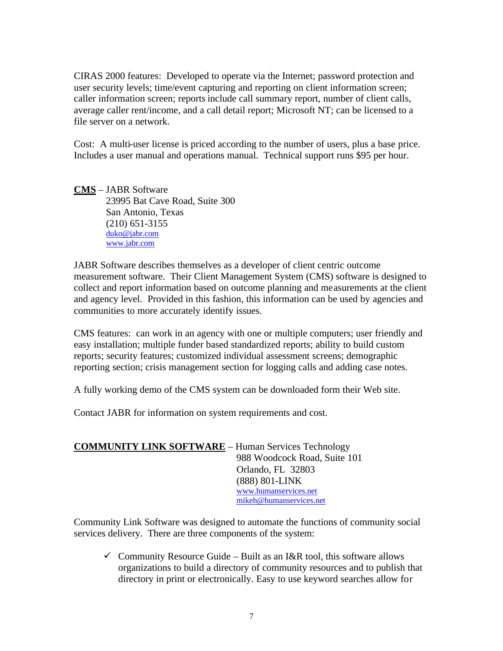CIRAS 2000 features: Developed to operate via the Internet; password protection and user security levels; time/event capturing and reporting on client information screen; caller information screen; reports include call summary report, number of client calls, average caller rent/income, and a call detail report; Microsoft NT; can be licensed to a file server on a network.

Cost: A multi-user license is priced according to the number of users, plus a base price. Includes a user manual and operations manual. Technical support runs \$95 per hour.

**CMS** – JABR Software 23995 Bat Cave Road, Suite 300 San Antonio, Texas (210) 651-3155 duko@jabr.com www.jabr.com

JABR Software describes themselves as a developer of client centric outcome measurement software. Their Client Management System (CMS) software is designed to collect and report information based on outcome planning and measurements at the client and agency level. Provided in this fashion, this information can be used by agencies and communities to more accurately identify issues.

CMS features: can work in an agency with one or multiple computers; user friendly and easy installation; multiple funder based standardized reports; ability to build custom reports; security features; customized individual assessment screens; demographic reporting section; crisis management section for logging calls and adding case notes.

A fully working demo of the CMS system can be downloaded form their Web site.

Contact JABR for information on system requirements and cost.

| <b>COMMUNITY LINK SOFTWARE - Human Services Technology</b> |                              |
|------------------------------------------------------------|------------------------------|
|                                                            | 988 Woodcock Road, Suite 101 |
|                                                            | Orlando, FL 32803            |
|                                                            | (888) 801-LINK               |
|                                                            | www.humanservices.net        |
|                                                            | mikeh@humanservices.net      |

Community Link Software was designed to automate the functions of community social services delivery. There are three components of the system:

 $\checkmark$  Community Resource Guide – Built as an I&R tool, this software allows organizations to build a directory of community resources and to publish that directory in print or electronically. Easy to use keyword searches allow for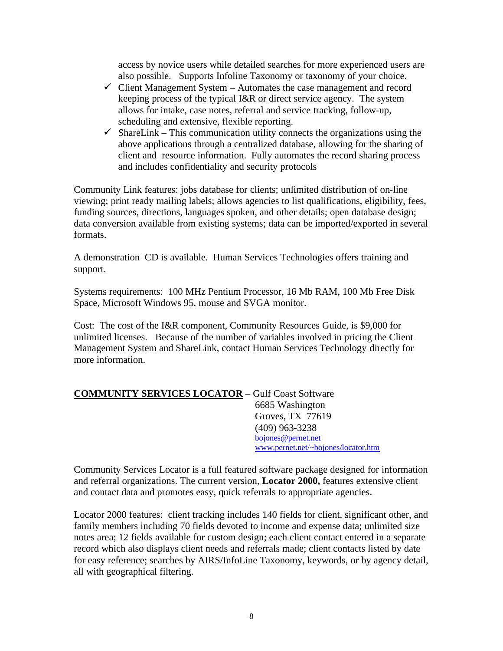access by novice users while detailed searches for more experienced users are also possible. Supports Infoline Taxonomy or taxonomy of your choice.

- $\checkmark$  Client Management System Automates the case management and record keeping process of the typical I&R or direct service agency. The system allows for intake, case notes, referral and service tracking, follow-up, scheduling and extensive, flexible reporting.
- $\checkmark$  ShareLink This communication utility connects the organizations using the above applications through a centralized database, allowing for the sharing of client and resource information. Fully automates the record sharing process and includes confidentiality and security protocols

Community Link features: jobs database for clients; unlimited distribution of on-line viewing; print ready mailing labels; allows agencies to list qualifications, eligibility, fees, funding sources, directions, languages spoken, and other details; open database design; data conversion available from existing systems; data can be imported/exported in several formats.

A demonstration CD is available. Human Services Technologies offers training and support.

Systems requirements: 100 MHz Pentium Processor, 16 Mb RAM, 100 Mb Free Disk Space, Microsoft Windows 95, mouse and SVGA monitor.

Cost: The cost of the I&R component, Community Resources Guide, is \$9,000 for unlimited licenses. Because of the number of variables involved in pricing the Client Management System and ShareLink, contact Human Services Technology directly for more information.

## **COMMUNITY SERVICES LOCATOR** – Gulf Coast Software 6685 Washington Groves, TX 77619 (409) 963-3238 bojones@pernet.net www.pernet.net/~bojones/locator.htm

Community Services Locator is a full featured software package designed for information and referral organizations. The current version, **Locator 2000,** features extensive client and contact data and promotes easy, quick referrals to appropriate agencies.

Locator 2000 features: client tracking includes 140 fields for client, significant other, and family members including 70 fields devoted to income and expense data; unlimited size notes area; 12 fields available for custom design; each client contact entered in a separate record which also displays client needs and referrals made; client contacts listed by date for easy reference; searches by AIRS/InfoLine Taxonomy, keywords, or by agency detail, all with geographical filtering.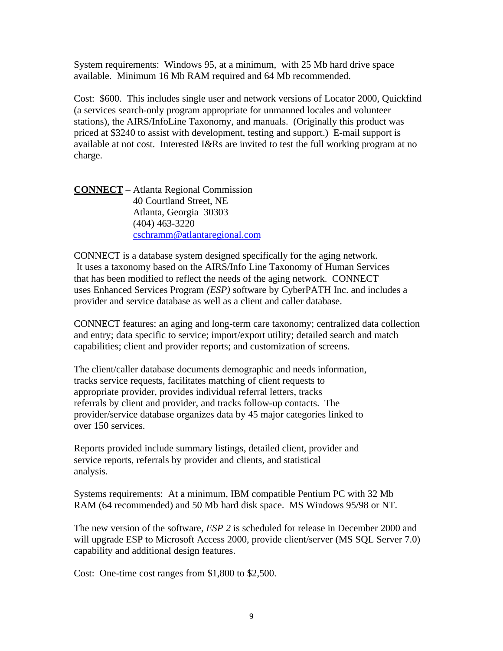System requirements: Windows 95, at a minimum, with 25 Mb hard drive space available. Minimum 16 Mb RAM required and 64 Mb recommended.

Cost: \$600. This includes single user and network versions of Locator 2000, Quickfind (a services search-only program appropriate for unmanned locales and volunteer stations), the AIRS/InfoLine Taxonomy, and manuals. (Originally this product was priced at \$3240 to assist with development, testing and support.) E-mail support is available at not cost. Interested I&Rs are invited to test the full working program at no charge.

**CONNECT** – Atlanta Regional Commission 40 Courtland Street, NE Atlanta, Georgia 30303 (404) 463-3220 cschramm@atlantaregional.com

CONNECT is a database system designed specifically for the aging network. It uses a taxonomy based on the AIRS/Info Line Taxonomy of Human Services that has been modified to reflect the needs of the aging network. CONNECT uses Enhanced Services Program *(ESP)* software by CyberPATH Inc. and includes a provider and service database as well as a client and caller database.

CONNECT features: an aging and long-term care taxonomy; centralized data collection and entry; data specific to service; import/export utility; detailed search and match capabilities; client and provider reports; and customization of screens.

The client/caller database documents demographic and needs information, tracks service requests, facilitates matching of client requests to appropriate provider, provides individual referral letters, tracks referrals by client and provider, and tracks follow-up contacts. The provider/service database organizes data by 45 major categories linked to over 150 services.

Reports provided include summary listings, detailed client, provider and service reports, referrals by provider and clients, and statistical analysis.

Systems requirements: At a minimum, IBM compatible Pentium PC with 32 Mb RAM (64 recommended) and 50 Mb hard disk space. MS Windows 95/98 or NT.

The new version of the software, *ESP 2* is scheduled for release in December 2000 and will upgrade ESP to Microsoft Access 2000, provide client/server (MS SQL Server 7.0) capability and additional design features.

Cost: One-time cost ranges from \$1,800 to \$2,500.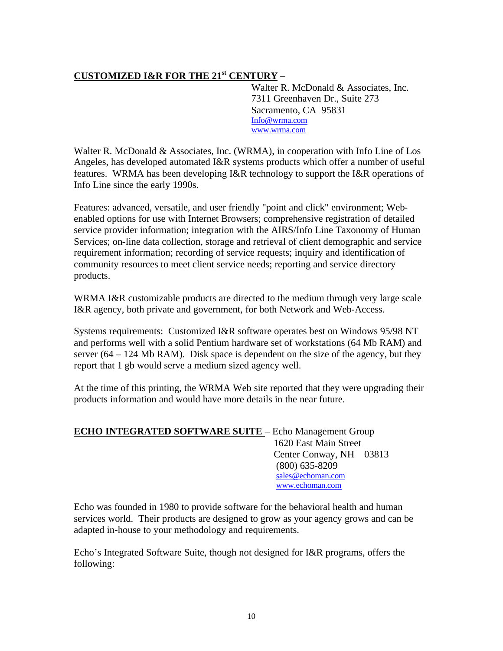# **CUSTOMIZED I&R FOR THE 21st CENTURY** –

Walter R. McDonald & Associates, Inc. 7311 Greenhaven Dr., Suite 273 Sacramento, CA 95831 Info@wrma.com www.wrma.com

Walter R. McDonald & Associates, Inc. (WRMA), in cooperation with Info Line of Los Angeles, has developed automated I&R systems products which offer a number of useful features. WRMA has been developing I&R technology to support the I&R operations of Info Line since the early 1990s.

Features: advanced, versatile, and user friendly "point and click" environment; Webenabled options for use with Internet Browsers; comprehensive registration of detailed service provider information; integration with the AIRS/Info Line Taxonomy of Human Services; on-line data collection, storage and retrieval of client demographic and service requirement information; recording of service requests; inquiry and identification of community resources to meet client service needs; reporting and service directory products.

WRMA I&R customizable products are directed to the medium through very large scale I&R agency, both private and government, for both Network and Web-Access.

Systems requirements: Customized I&R software operates best on Windows 95/98 NT and performs well with a solid Pentium hardware set of workstations (64 Mb RAM) and server  $(64 – 124 \text{ Mb RAM})$ . Disk space is dependent on the size of the agency, but they report that 1 gb would serve a medium sized agency well.

At the time of this printing, the WRMA Web site reported that they were upgrading their products information and would have more details in the near future.

| <b>ECHO INTEGRATED SOFTWARE SUITE - Echo Management Group</b> |                         |  |
|---------------------------------------------------------------|-------------------------|--|
|                                                               | 1620 East Main Street   |  |
|                                                               | Center Conway, NH 03813 |  |
|                                                               | $(800)$ 635-8209        |  |
|                                                               | sales@echoman.com       |  |
|                                                               | www.echoman.com         |  |

Echo was founded in 1980 to provide software for the behavioral health and human services world. Their products are designed to grow as your agency grows and can be adapted in-house to your methodology and requirements.

Echo's Integrated Software Suite, though not designed for I&R programs, offers the following: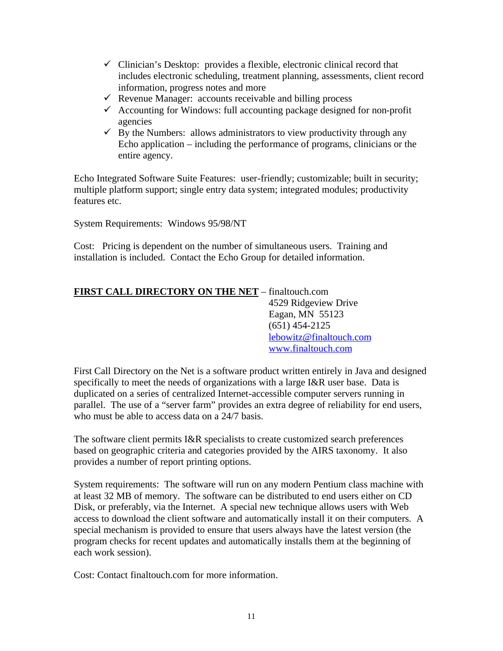- $\checkmark$  Clinician's Desktop: provides a flexible, electronic clinical record that includes electronic scheduling, treatment planning, assessments, client record information, progress notes and more
- $\checkmark$  Revenue Manager: accounts receivable and billing process
- $\checkmark$  Accounting for Windows: full accounting package designed for non-profit agencies
- $\checkmark$  By the Numbers: allows administrators to view productivity through any Echo application – including the performance of programs, clinicians or the entire agency.

Echo Integrated Software Suite Features: user-friendly; customizable; built in security; multiple platform support; single entry data system; integrated modules; productivity features etc.

System Requirements: Windows 95/98/NT

Cost: Pricing is dependent on the number of simultaneous users. Training and installation is included. Contact the Echo Group for detailed information.

| FIRST CALL DIRECTORY ON THE NET - finaltouch.com |                         |
|--------------------------------------------------|-------------------------|
|                                                  | 4529 Ridgeview Drive    |
|                                                  | Eagan, MN 55123         |
|                                                  | $(651)$ 454-2125        |
|                                                  | lebowitz@finaltouch.com |
|                                                  | www.finaltouch.com      |

First Call Directory on the Net is a software product written entirely in Java and designed specifically to meet the needs of organizations with a large I&R user base. Data is duplicated on a series of centralized Internet-accessible computer servers running in parallel. The use of a "server farm" provides an extra degree of reliability for end users, who must be able to access data on a 24/7 basis.

The software client permits I&R specialists to create customized search preferences based on geographic criteria and categories provided by the AIRS taxonomy. It also provides a number of report printing options.

System requirements: The software will run on any modern Pentium class machine with at least 32 MB of memory. The software can be distributed to end users either on CD Disk, or preferably, via the Internet. A special new technique allows users with Web access to download the client software and automatically install it on their computers. A special mechanism is provided to ensure that users always have the latest version (the program checks for recent updates and automatically installs them at the beginning of each work session).

Cost: Contact finaltouch.com for more information.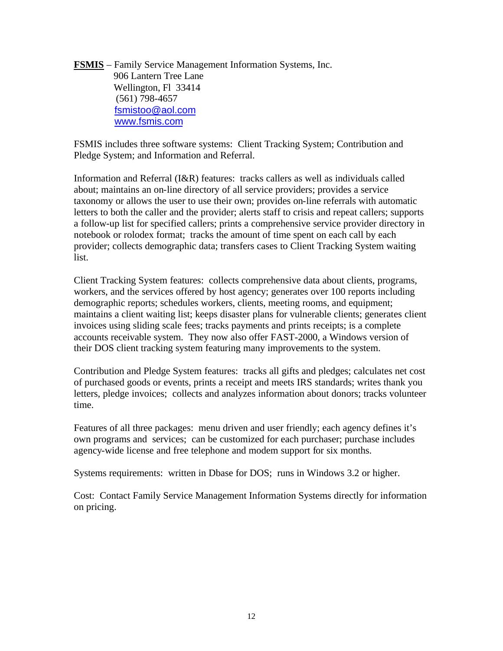**FSMIS** – Family Service Management Information Systems, Inc. 906 Lantern Tree Lane Wellington, Fl 33414 (561) 798-4657 fsmistoo@aol.com www.fsmis.com

FSMIS includes three software systems: Client Tracking System; Contribution and Pledge System; and Information and Referral.

Information and Referral (I&R) features: tracks callers as well as individuals called about; maintains an on-line directory of all service providers; provides a service taxonomy or allows the user to use their own; provides on-line referrals with automatic letters to both the caller and the provider; alerts staff to crisis and repeat callers; supports a follow-up list for specified callers; prints a comprehensive service provider directory in notebook or rolodex format; tracks the amount of time spent on each call by each provider; collects demographic data; transfers cases to Client Tracking System waiting list.

Client Tracking System features: collects comprehensive data about clients, programs, workers, and the services offered by host agency; generates over 100 reports including demographic reports; schedules workers, clients, meeting rooms, and equipment; maintains a client waiting list; keeps disaster plans for vulnerable clients; generates client invoices using sliding scale fees; tracks payments and prints receipts; is a complete accounts receivable system. They now also offer FAST-2000, a Windows version of their DOS client tracking system featuring many improvements to the system.

Contribution and Pledge System features: tracks all gifts and pledges; calculates net cost of purchased goods or events, prints a receipt and meets IRS standards; writes thank you letters, pledge invoices; collects and analyzes information about donors; tracks volunteer time.

Features of all three packages: menu driven and user friendly; each agency defines it's own programs and services; can be customized for each purchaser; purchase includes agency-wide license and free telephone and modem support for six months.

Systems requirements: written in Dbase for DOS; runs in Windows 3.2 or higher.

Cost: Contact Family Service Management Information Systems directly for information on pricing.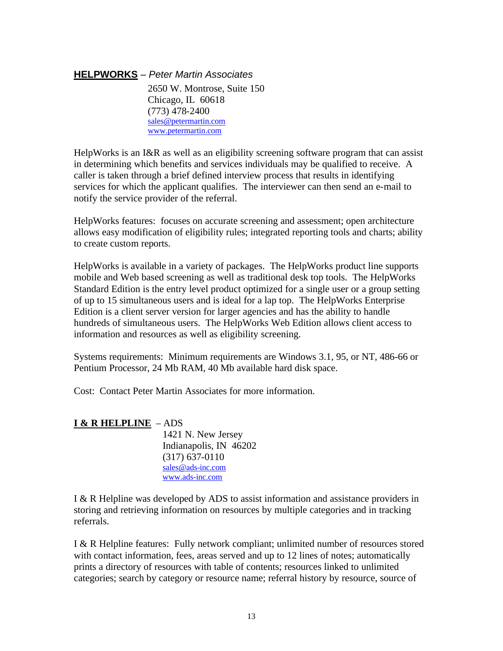## **HELPWORKS** *– Peter Martin Associates*

2650 W. Montrose, Suite 150 Chicago, IL 60618 (773) 478-2400 sales@petermartin.com www.petermartin.com

HelpWorks is an I&R as well as an eligibility screening software program that can assist in determining which benefits and services individuals may be qualified to receive. A caller is taken through a brief defined interview process that results in identifying services for which the applicant qualifies. The interviewer can then send an e-mail to notify the service provider of the referral.

HelpWorks features: focuses on accurate screening and assessment; open architecture allows easy modification of eligibility rules; integrated reporting tools and charts; ability to create custom reports.

HelpWorks is available in a variety of packages. The HelpWorks product line supports mobile and Web based screening as well as traditional desk top tools. The HelpWorks Standard Edition is the entry level product optimized for a single user or a group setting of up to 15 simultaneous users and is ideal for a lap top. The HelpWorks Enterprise Edition is a client server version for larger agencies and has the ability to handle hundreds of simultaneous users. The HelpWorks Web Edition allows client access to information and resources as well as eligibility screening.

Systems requirements: Minimum requirements are Windows 3.1, 95, or NT, 486-66 or Pentium Processor, 24 Mb RAM, 40 Mb available hard disk space.

Cost: Contact Peter Martin Associates for more information.

## **I & R HELPLINE** – ADS

1421 N. New Jersey Indianapolis, IN 46202 (317) 637-0110 sales@ads-inc.com www.ads-inc.com

I & R Helpline was developed by ADS to assist information and assistance providers in storing and retrieving information on resources by multiple categories and in tracking referrals.

I & R Helpline features: Fully network compliant; unlimited number of resources stored with contact information, fees, areas served and up to 12 lines of notes; automatically prints a directory of resources with table of contents; resources linked to unlimited categories; search by category or resource name; referral history by resource, source of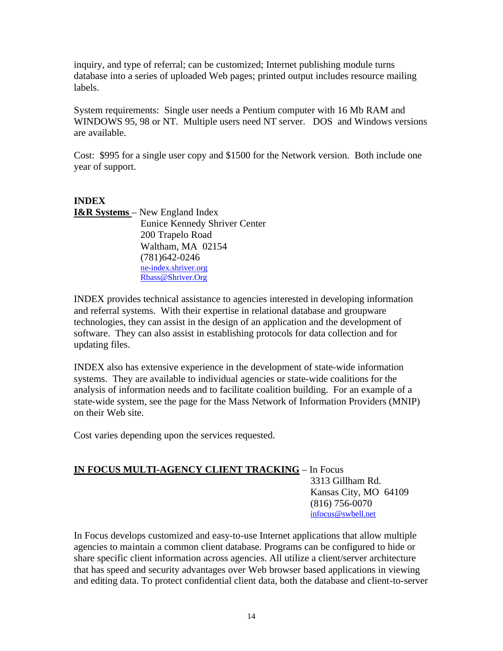inquiry, and type of referral; can be customized; Internet publishing module turns database into a series of uploaded Web pages; printed output includes resource mailing labels.

System requirements: Single user needs a Pentium computer with 16 Mb RAM and WINDOWS 95, 98 or NT. Multiple users need NT server. DOS and Windows versions are available.

Cost: \$995 for a single user copy and \$1500 for the Network version. Both include one year of support.

**INDEX I&R Systems** – New England Index Eunice Kennedy Shriver Center 200 Trapelo Road Waltham, MA 02154 (781)642-0246 ne-index.shriver.org Rbass@Shriver.Org

INDEX provides technical assistance to agencies interested in developing information and referral systems. With their expertise in relational database and groupware technologies, they can assist in the design of an application and the development of software. They can also assist in establishing protocols for data collection and for updating files.

INDEX also has extensive experience in the development of state-wide information systems. They are available to individual agencies or state-wide coalitions for the analysis of information needs and to facilitate coalition building. For an example of a state-wide system, see the page for the Mass Network of Information Providers (MNIP) on their Web site.

Cost varies depending upon the services requested.

# **IN FOCUS MULTI-AGENCY CLIENT TRACKING** – In Focus 3313 Gillham Rd. Kansas City, MO 64109 (816) 756-0070 infocus@swbell.net

In Focus develops customized and easy-to-use Internet applications that allow multiple agencies to maintain a common client database. Programs can be configured to hide or share specific client information across agencies. All utilize a client/server architecture that has speed and security advantages over Web browser based applications in viewing and editing data. To protect confidential client data, both the database and client-to-server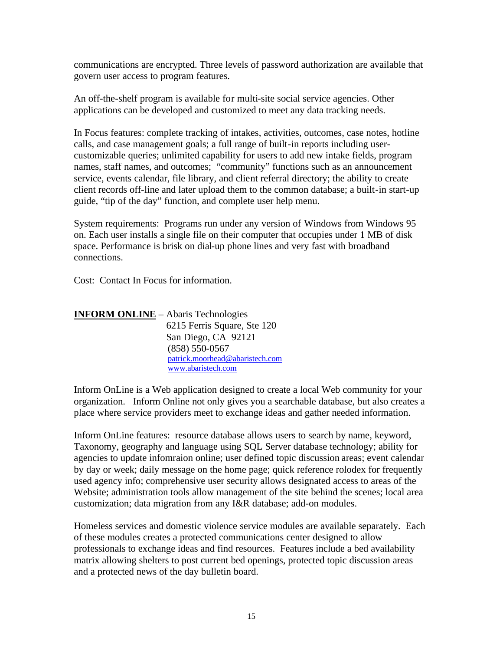communications are encrypted. Three levels of password authorization are available that govern user access to program features.

An off-the-shelf program is available for multi-site social service agencies. Other applications can be developed and customized to meet any data tracking needs.

In Focus features: complete tracking of intakes, activities, outcomes, case notes, hotline calls, and case management goals; a full range of built-in reports including usercustomizable queries; unlimited capability for users to add new intake fields, program names, staff names, and outcomes; "community" functions such as an announcement service, events calendar, file library, and client referral directory; the ability to create client records off-line and later upload them to the common database; a built-in start-up guide, "tip of the day" function, and complete user help menu.

System requirements: Programs run under any version of Windows from Windows 95 on. Each user installs a single file on their computer that occupies under 1 MB of disk space. Performance is brisk on dial-up phone lines and very fast with broadband connections.

Cost: Contact In Focus for information.

| <b>INFORM ONLINE</b> – Abaris Technologies |                                 |
|--------------------------------------------|---------------------------------|
|                                            | 6215 Ferris Square, Ste 120     |
|                                            | San Diego, CA 92121             |
|                                            | $(858) 550 - 0567$              |
|                                            | patrick.moorhead@abaristech.com |
|                                            | www.abaristech.com              |

Inform OnLine is a Web application designed to create a local Web community for your organization. Inform Online not only gives you a searchable database, but also creates a place where service providers meet to exchange ideas and gather needed information.

Inform OnLine features: resource database allows users to search by name, keyword, Taxonomy, geography and language using SQL Server database technology; ability for agencies to update infomraion online; user defined topic discussion areas; event calendar by day or week; daily message on the home page; quick reference rolodex for frequently used agency info; comprehensive user security allows designated access to areas of the Website; administration tools allow management of the site behind the scenes; local area customization; data migration from any I&R database; add-on modules.

Homeless services and domestic violence service modules are available separately. Each of these modules creates a protected communications center designed to allow professionals to exchange ideas and find resources. Features include a bed availability matrix allowing shelters to post current bed openings, protected topic discussion areas and a protected news of the day bulletin board.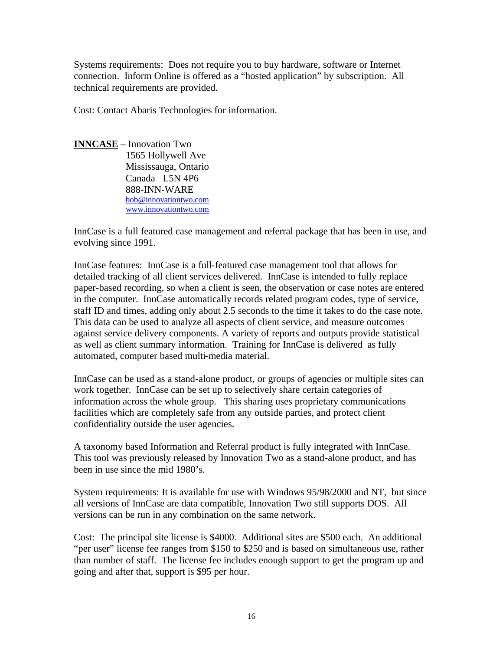Systems requirements: Does not require you to buy hardware, software or Internet connection. Inform Online is offered as a "hosted application" by subscription. All technical requirements are provided.

Cost: Contact Abaris Technologies for information.

**INNCASE** – Innovation Two 1565 Hollywell Ave Mississauga, Ontario Canada L5N 4P6 888-INN-WARE bob@innovationtwo.com www.innovationtwo.com

InnCase is a full featured case management and referral package that has been in use, and evolving since 1991.

InnCase features: InnCase is a full-featured case management tool that allows for detailed tracking of all client services delivered. InnCase is intended to fully replace paper-based recording, so when a client is seen, the observation or case notes are entered in the computer. InnCase automatically records related program codes, type of service, staff ID and times, adding only about 2.5 seconds to the time it takes to do the case note. This data can be used to analyze all aspects of client service, and measure outcomes against service delivery components. A variety of reports and outputs provide statistical as well as client summary information. Training for InnCase is delivered as fully automated, computer based multi-media material.

InnCase can be used as a stand-alone product, or groups of agencies or multiple sites can work together. InnCase can be set up to selectively share certain categories of information across the whole group. This sharing uses proprietary communications facilities which are completely safe from any outside parties, and protect client confidentiality outside the user agencies.

A taxonomy based Information and Referral product is fully integrated with InnCase. This tool was previously released by Innovation Two as a stand-alone product, and has been in use since the mid 1980's.

System requirements: It is available for use with Windows 95/98/2000 and NT, but since all versions of InnCase are data compatible, Innovation Two still supports DOS. All versions can be run in any combination on the same network.

Cost: The principal site license is \$4000. Additional sites are \$500 each. An additional "per user" license fee ranges from \$150 to \$250 and is based on simultaneous use, rather than number of staff. The license fee includes enough support to get the program up and going and after that, support is \$95 per hour.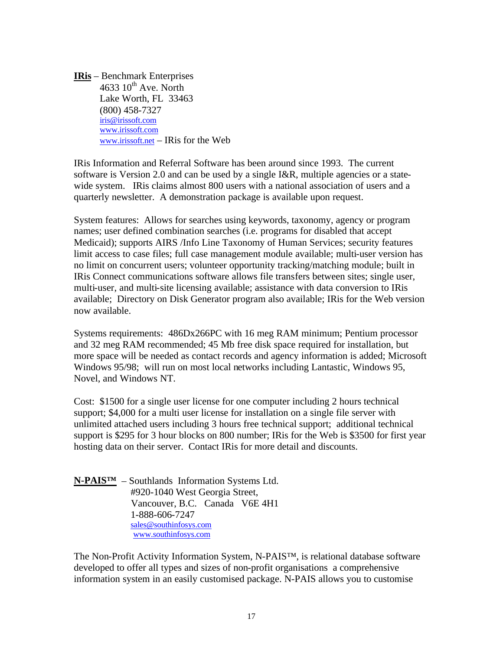**IRis** – Benchmark Enterprises 4633  $10^{th}$  Ave. North Lake Worth, FL 33463 (800) 458-7327 iris@irissoft.com www.irissoft.com www.irissoft.net – IRis for the Web

IRis Information and Referral Software has been around since 1993. The current software is Version 2.0 and can be used by a single I&R, multiple agencies or a statewide system. IRis claims almost 800 users with a national association of users and a quarterly newsletter. A demonstration package is available upon request.

System features: Allows for searches using keywords, taxonomy, agency or program names; user defined combination searches (i.e. programs for disabled that accept Medicaid); supports AIRS /Info Line Taxonomy of Human Services; security features limit access to case files; full case management module available; multi-user version has no limit on concurrent users; volunteer opportunity tracking/matching module; built in IRis Connect communications software allows file transfers between sites; single user, multi-user, and multi-site licensing available; assistance with data conversion to IRis available; Directory on Disk Generator program also available; IRis for the Web version now available.

Systems requirements: 486Dx266PC with 16 meg RAM minimum; Pentium processor and 32 meg RAM recommended; 45 Mb free disk space required for installation, but more space will be needed as contact records and agency information is added; Microsoft Windows 95/98; will run on most local networks including Lantastic, Windows 95, Novel, and Windows NT.

Cost: \$1500 for a single user license for one computer including 2 hours technical support; \$4,000 for a multi user license for installation on a single file server with unlimited attached users including 3 hours free technical support; additional technical support is \$295 for 3 hour blocks on 800 number; IRis for the Web is \$3500 for first year hosting data on their server. Contact IRis for more detail and discounts.

**N-PAIS™** – Southlands Information Systems Ltd. #920-1040 West Georgia Street, Vancouver, B.C. Canada V6E 4H1 1-888-606-7247 sales@southinfosys.com www.southinfosys.com

The Non-Profit Activity Information System, N-PAIS™, is relational database software developed to offer all types and sizes of non-profit organisations a comprehensive information system in an easily customised package. N-PAIS allows you to customise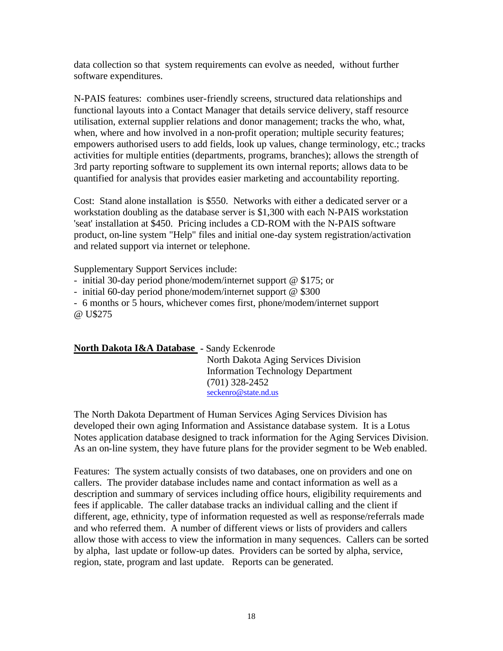data collection so that system requirements can evolve as needed, without further software expenditures.

N-PAIS features: combines user-friendly screens, structured data relationships and functional layouts into a Contact Manager that details service delivery, staff resource utilisation, external supplier relations and donor management; tracks the who, what, when, where and how involved in a non-profit operation; multiple security features; empowers authorised users to add fields, look up values, change terminology, etc.; tracks activities for multiple entities (departments, programs, branches); allows the strength of 3rd party reporting software to supplement its own internal reports; allows data to be quantified for analysis that provides easier marketing and accountability reporting.

Cost: Stand alone installation is \$550. Networks with either a dedicated server or a workstation doubling as the database server is \$1,300 with each N-PAIS workstation 'seat' installation at \$450. Pricing includes a CD-ROM with the N-PAIS software product, on-line system "Help" files and initial one-day system registration/activation and related support via internet or telephone.

Supplementary Support Services include:

- initial 30-day period phone/modem/internet support @ \$175; or

- initial 60-day period phone/modem/internet support @ \$300

- 6 months or 5 hours, whichever comes first, phone/modem/internet support @ U\$275

## **North Dakota I&A Database -** Sandy Eckenrode

North Dakota Aging Services Division Information Technology Department (701) 328-2452 seckenro@state.nd.us

The North Dakota Department of Human Services Aging Services Division has developed their own aging Information and Assistance database system. It is a Lotus Notes application database designed to track information for the Aging Services Division. As an on-line system, they have future plans for the provider segment to be Web enabled.

Features: The system actually consists of two databases, one on providers and one on callers. The provider database includes name and contact information as well as a description and summary of services including office hours, eligibility requirements and fees if applicable. The caller database tracks an individual calling and the client if different, age, ethnicity, type of information requested as well as response/referrals made and who referred them. A number of different views or lists of providers and callers allow those with access to view the information in many sequences. Callers can be sorted by alpha, last update or follow-up dates. Providers can be sorted by alpha, service, region, state, program and last update. Reports can be generated.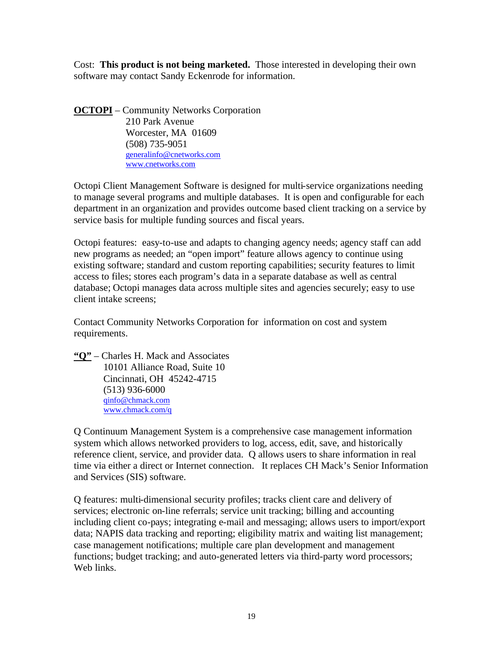Cost: **This product is not being marketed.** Those interested in developing their own software may contact Sandy Eckenrode for information.

**OCTOPI** – Community Networks Corporation 210 Park Avenue Worcester, MA 01609 (508) 735-9051 generalinfo@cnetworks.com www.cnetworks.com

Octopi Client Management Software is designed for multi-service organizations needing to manage several programs and multiple databases. It is open and configurable for each department in an organization and provides outcome based client tracking on a service by service basis for multiple funding sources and fiscal years.

Octopi features: easy-to-use and adapts to changing agency needs; agency staff can add new programs as needed; an "open import" feature allows agency to continue using existing software; standard and custom reporting capabilities; security features to limit access to files; stores each program's data in a separate database as well as central database; Octopi manages data across multiple sites and agencies securely; easy to use client intake screens;

Contact Community Networks Corporation for information on cost and system requirements.

**"Q"** – Charles H. Mack and Associates 10101 Alliance Road, Suite 10 Cincinnati, OH 45242-4715 (513) 936-6000 qinfo@chmack.com www.chmack.com/q

Q Continuum Management System is a comprehensive case management information system which allows networked providers to log, access, edit, save, and historically reference client, service, and provider data. Q allows users to share information in real time via either a direct or Internet connection. It replaces CH Mack's Senior Information and Services (SIS) software.

Q features: multi-dimensional security profiles; tracks client care and delivery of services; electronic on-line referrals; service unit tracking; billing and accounting including client co-pays; integrating e-mail and messaging; allows users to import/export data; NAPIS data tracking and reporting; eligibility matrix and waiting list management; case management notifications; multiple care plan development and management functions; budget tracking; and auto-generated letters via third-party word processors; Web links.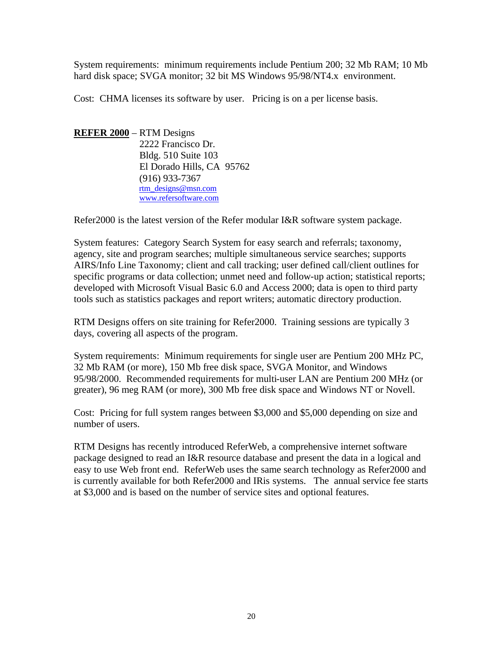System requirements: minimum requirements include Pentium 200; 32 Mb RAM; 10 Mb hard disk space; SVGA monitor; 32 bit MS Windows 95/98/NT4.x environment.

Cost: CHMA licenses its software by user. Pricing is on a per license basis.

**REFER 2000** – RTM Designs 2222 Francisco Dr. Bldg. 510 Suite 103 El Dorado Hills, CA 95762 (916) 933-7367 rtm\_designs@msn.com www.refersoftware.com

Refer2000 is the latest version of the Refer modular I&R software system package.

System features: Category Search System for easy search and referrals; taxonomy, agency, site and program searches; multiple simultaneous service searches; supports AIRS/Info Line Taxonomy; client and call tracking; user defined call/client outlines for specific programs or data collection; unmet need and follow-up action; statistical reports; developed with Microsoft Visual Basic 6.0 and Access 2000; data is open to third party tools such as statistics packages and report writers; automatic directory production.

RTM Designs offers on site training for Refer2000. Training sessions are typically 3 days, covering all aspects of the program.

System requirements: Minimum requirements for single user are Pentium 200 MHz PC, 32 Mb RAM (or more), 150 Mb free disk space, SVGA Monitor, and Windows 95/98/2000. Recommended requirements for multi-user LAN are Pentium 200 MHz (or greater), 96 meg RAM (or more), 300 Mb free disk space and Windows NT or Novell.

Cost: Pricing for full system ranges between \$3,000 and \$5,000 depending on size and number of users.

RTM Designs has recently introduced ReferWeb, a comprehensive internet software package designed to read an I&R resource database and present the data in a logical and easy to use Web front end. ReferWeb uses the same search technology as Refer2000 and is currently available for both Refer2000 and IRis systems. The annual service fee starts at \$3,000 and is based on the number of service sites and optional features.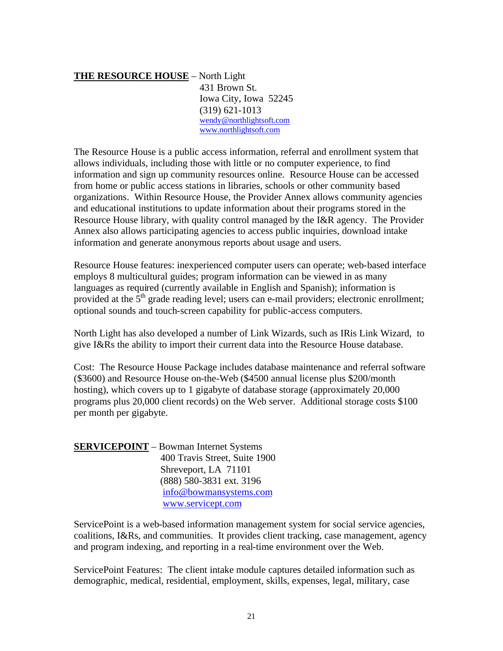## **THE RESOURCE HOUSE** – North Light 431 Brown St. Iowa City, Iowa 52245 (319) 621-1013 wendy@northlightsoft.com www.northlightsoft.com

The Resource House is a public access information, referral and enrollment system that allows individuals, including those with little or no computer experience, to find information and sign up community resources online. Resource House can be accessed from home or public access stations in libraries, schools or other community based organizations. Within Resource House, the Provider Annex allows community agencies and educational institutions to update information about their programs stored in the Resource House library, with quality control managed by the I&R agency. The Provider Annex also allows participating agencies to access public inquiries, download intake information and generate anonymous reports about usage and users.

Resource House features: inexperienced computer users can operate; web-based interface employs 8 multicultural guides; program information can be viewed in as many languages as required (currently available in English and Spanish); information is provided at the  $\tilde{5}^{th}$  grade reading level; users can e-mail providers; electronic enrollment; optional sounds and touch-screen capability for public-access computers.

North Light has also developed a number of Link Wizards, such as IRis Link Wizard, to give I&Rs the ability to import their current data into the Resource House database.

Cost: The Resource House Package includes database maintenance and referral software (\$3600) and Resource House on-the-Web (\$4500 annual license plus \$200/month hosting), which covers up to 1 gigabyte of database storage (approximately 20,000 programs plus 20,000 client records) on the Web server. Additional storage costs \$100 per month per gigabyte.

| <b>SERVICEPOINT</b> - Bowman Internet Systems |
|-----------------------------------------------|
| 400 Travis Street, Suite 1900                 |
| Shreveport, LA 71101                          |
| (888) 580-3831 ext. 3196                      |
| info@bowmansystems.com                        |
| www.servicept.com                             |

ServicePoint is a web-based information management system for social service agencies, coalitions, I&Rs, and communities. It provides client tracking, case management, agency and program indexing, and reporting in a real-time environment over the Web.

ServicePoint Features: The client intake module captures detailed information such as demographic, medical, residential, employment, skills, expenses, legal, military, case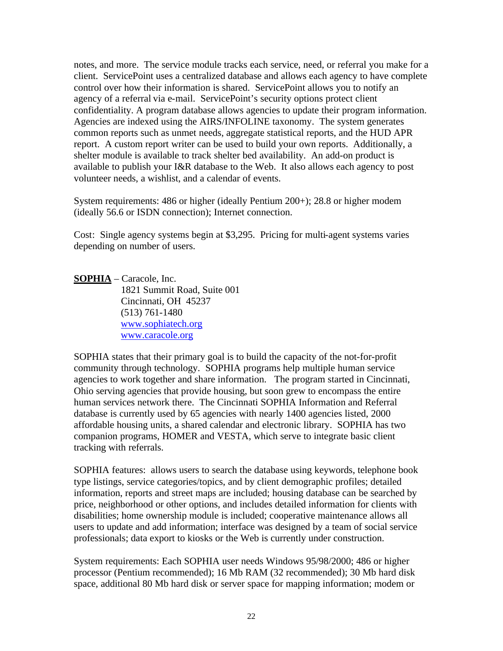notes, and more. The service module tracks each service, need, or referral you make for a client. ServicePoint uses a centralized database and allows each agency to have complete control over how their information is shared. ServicePoint allows you to notify an agency of a referral via e-mail. ServicePoint's security options protect client confidentiality. A program database allows agencies to update their program information. Agencies are indexed using the AIRS/INFOLINE taxonomy. The system generates common reports such as unmet needs, aggregate statistical reports, and the HUD APR report. A custom report writer can be used to build your own reports. Additionally, a shelter module is available to track shelter bed availability. An add-on product is available to publish your I&R database to the Web. It also allows each agency to post volunteer needs, a wishlist, and a calendar of events.

System requirements: 486 or higher (ideally Pentium 200+); 28.8 or higher modem (ideally 56.6 or ISDN connection); Internet connection.

Cost: Single agency systems begin at \$3,295. Pricing for multi-agent systems varies depending on number of users.

**SOPHIA** – Caracole, Inc. 1821 Summit Road, Suite 001 Cincinnati, OH 45237 (513) 761-1480 www.sophiatech.org www.caracole.org

SOPHIA states that their primary goal is to build the capacity of the not-for-profit community through technology. SOPHIA programs help multiple human service agencies to work together and share information. The program started in Cincinnati, Ohio serving agencies that provide housing, but soon grew to encompass the entire human services network there. The Cincinnati SOPHIA Information and Referral database is currently used by 65 agencies with nearly 1400 agencies listed, 2000 affordable housing units, a shared calendar and electronic library. SOPHIA has two companion programs, HOMER and VESTA, which serve to integrate basic client tracking with referrals.

SOPHIA features: allows users to search the database using keywords, telephone book type listings, service categories/topics, and by client demographic profiles; detailed information, reports and street maps are included; housing database can be searched by price, neighborhood or other options, and includes detailed information for clients with disabilities; home ownership module is included; cooperative maintenance allows all users to update and add information; interface was designed by a team of social service professionals; data export to kiosks or the Web is currently under construction.

System requirements: Each SOPHIA user needs Windows 95/98/2000; 486 or higher processor (Pentium recommended); 16 Mb RAM (32 recommended); 30 Mb hard disk space, additional 80 Mb hard disk or server space for mapping information; modem or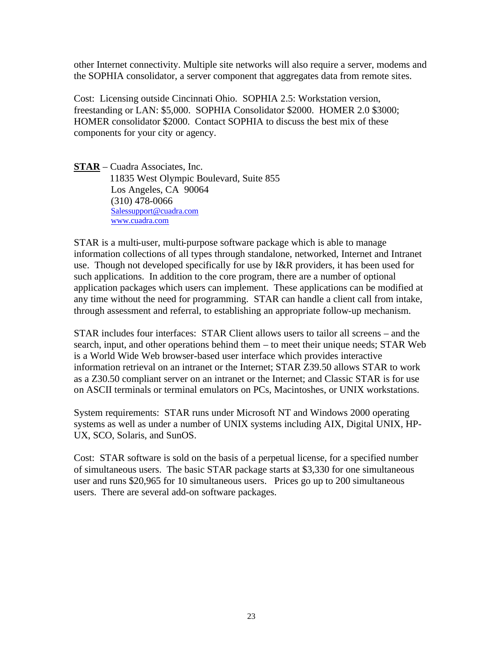other Internet connectivity. Multiple site networks will also require a server, modems and the SOPHIA consolidator, a server component that aggregates data from remote sites.

Cost: Licensing outside Cincinnati Ohio. SOPHIA 2.5: Workstation version, freestanding or LAN: \$5,000. SOPHIA Consolidator \$2000. HOMER 2.0 \$3000; HOMER consolidator \$2000. Contact SOPHIA to discuss the best mix of these components for your city or agency.

**STAR** – Cuadra Associates, Inc. 11835 West Olympic Boulevard, Suite 855 Los Angeles, CA 90064 (310) 478-0066 Salessupport@cuadra.com www.cuadra.com

STAR is a multi-user, multi-purpose software package which is able to manage information collections of all types through standalone, networked, Internet and Intranet use. Though not developed specifically for use by I&R providers, it has been used for such applications. In addition to the core program, there are a number of optional application packages which users can implement. These applications can be modified at any time without the need for programming. STAR can handle a client call from intake, through assessment and referral, to establishing an appropriate follow-up mechanism.

STAR includes four interfaces: STAR Client allows users to tailor all screens – and the search, input, and other operations behind them – to meet their unique needs; STAR Web is a World Wide Web browser-based user interface which provides interactive information retrieval on an intranet or the Internet; STAR Z39.50 allows STAR to work as a Z30.50 compliant server on an intranet or the Internet; and Classic STAR is for use on ASCII terminals or terminal emulators on PCs, Macintoshes, or UNIX workstations.

System requirements: STAR runs under Microsoft NT and Windows 2000 operating systems as well as under a number of UNIX systems including AIX, Digital UNIX, HP-UX, SCO, Solaris, and SunOS.

Cost: STAR software is sold on the basis of a perpetual license, for a specified number of simultaneous users. The basic STAR package starts at \$3,330 for one simultaneous user and runs \$20,965 for 10 simultaneous users. Prices go up to 200 simultaneous users. There are several add-on software packages.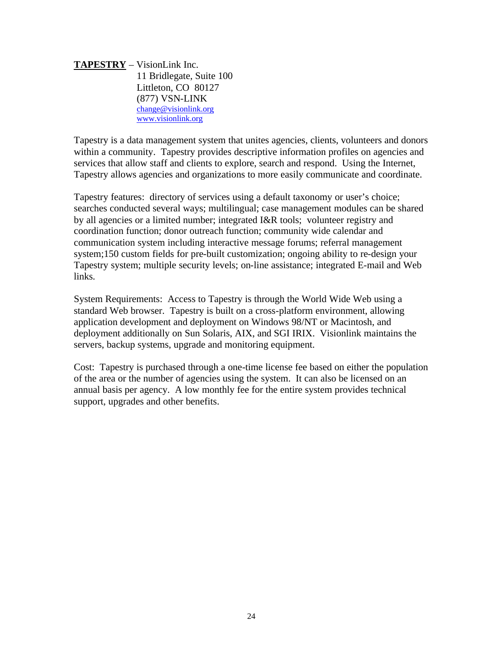**TAPESTRY** – VisionLink Inc. 11 Bridlegate, Suite 100 Littleton, CO 80127 (877) VSN-LINK change@visionlink.org www.visionlink.org

Tapestry is a data management system that unites agencies, clients, volunteers and donors within a community. Tapestry provides descriptive information profiles on agencies and services that allow staff and clients to explore, search and respond. Using the Internet, Tapestry allows agencies and organizations to more easily communicate and coordinate.

Tapestry features: directory of services using a default taxonomy or user's choice; searches conducted several ways; multilingual; case management modules can be shared by all agencies or a limited number; integrated I&R tools; volunteer registry and coordination function; donor outreach function; community wide calendar and communication system including interactive message forums; referral management system;150 custom fields for pre-built customization; ongoing ability to re-design your Tapestry system; multiple security levels; on-line assistance; integrated E-mail and Web links.

System Requirements: Access to Tapestry is through the World Wide Web using a standard Web browser. Tapestry is built on a cross-platform environment, allowing application development and deployment on Windows 98/NT or Macintosh, and deployment additionally on Sun Solaris, AIX, and SGI IRIX. Visionlink maintains the servers, backup systems, upgrade and monitoring equipment.

Cost: Tapestry is purchased through a one-time license fee based on either the population of the area or the number of agencies using the system. It can also be licensed on an annual basis per agency. A low monthly fee for the entire system provides technical support, upgrades and other benefits.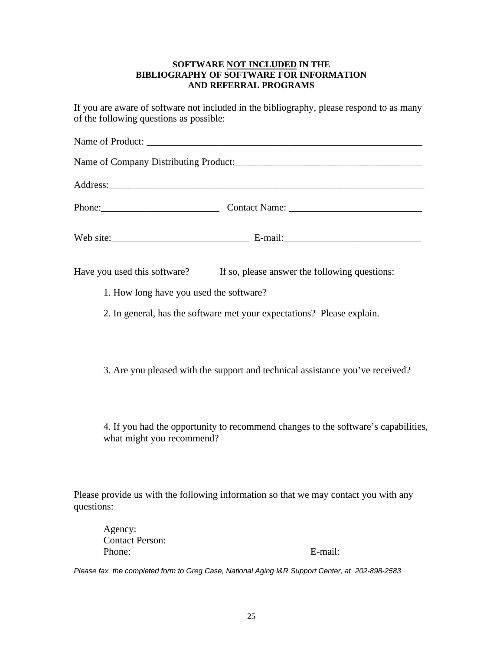#### **SOFTWARE NOT INCLUDED IN THE BIBLIOGRAPHY OF SOFTWARE FOR INFORMATION AND REFERRAL PROGRAMS**

If you are aware of software not included in the bibliography, please respond to as many of the following questions as possible:

| Have you used this software? If so, please answer the following questions:                                      |
|-----------------------------------------------------------------------------------------------------------------|
| 1. How long have you used the software?                                                                         |
| 2. In general, has the software met your expectations? Please explain.                                          |
| 3. Are you pleased with the support and technical assistance you've received?                                   |
| 4. If you had the opportunity to recommend changes to the software's capabilities,<br>what might you recommend? |

Please provide us with the following information so that we may contact you with any questions:

Agency: Contact Person: Phone: E-mail:

*Please fax the completed form to Greg Case, National Aging I&R Support Center, at 202-898-2583*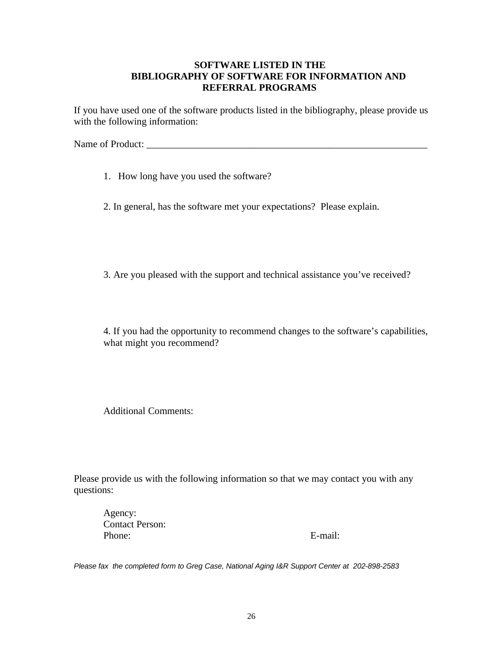## **SOFTWARE LISTED IN THE BIBLIOGRAPHY OF SOFTWARE FOR INFORMATION AND REFERRAL PROGRAMS**

If you have used one of the software products listed in the bibliography, please provide us with the following information:

Name of Product: \_\_\_\_\_\_\_\_\_\_\_\_\_\_\_\_\_\_\_\_\_\_\_\_\_\_\_\_\_\_\_\_\_\_\_\_\_\_\_\_\_\_\_\_\_\_\_\_\_\_\_\_\_\_\_\_\_

1. How long have you used the software?

2. In general, has the software met your expectations? Please explain.

3. Are you pleased with the support and technical assistance you've received?

4. If you had the opportunity to recommend changes to the software's capabilities, what might you recommend?

Additional Comments:

Please provide us with the following information so that we may contact you with any questions:

Agency: Contact Person: Phone: E-mail:

*Please fax the completed form to Greg Case, National Aging I&R Support Center at 202-898-2583*